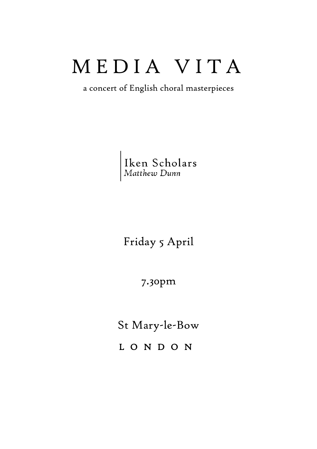## M E D I A V I T A

a concert of English choral masterpieces

Iken Scholars<br>Matthew Dunn

Friday 5 April

7.30pm

St Mary-le-Bow

L O N D O N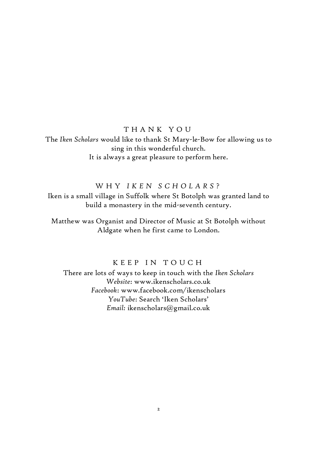#### T H A N K Y O U

The *Iken Scholars* would like to thank St Mary-le-Bow for allowing us to sing in this wonderful church. It is always a great pleasure to perform here.

#### W H Y *I K E N S C H O L A R S* ?

Iken is a small village in Suffolk where St Botolph was granted land to build a monastery in the mid-seventh century.

Matthew was Organist and Director of Music at St Botolph without Aldgate when he first came to London.

#### K E E P IN TOUCH

There are lots of ways to keep in touch with the *Iken Scholars Website*: www.ikenscholars.co.uk *Facebook*: www.facebook.com/ikenscholars *YouTube*: Search 'Iken Scholars' *Email:* ikenscholars@gmail.co.uk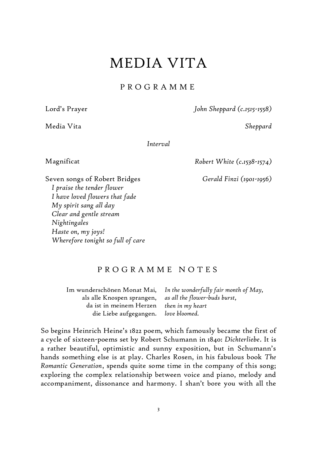## MEDIA VITA

#### P R O G R A M M E

Media Vita *Sheppard*

Lord's Prayer *John Sheppard (c.1515-1558)*

*Interval*

Magnificat *Robert White (c.1538-1574)*

*Gerald Finzi (1901-1956)* 

Seven songs of Robert Bridges *I praise the tender flower I have loved flowers that fade My spirit sang all day Clear and gentle stream Nightingales Haste on, my joys! Wherefore tonight so full of care*

#### P R O G R A M M E N O T E S

Im wunderschönen Monat Mai, als alle Knospen sprangen, da ist in meinem Herzen die Liebe aufgegangen. *In the wonderfully fair month of May, as all the flower-buds burst, then in my heart love bloomed.*

So begins Heinrich Heine's 1822 poem, which famously became the first of a cycle of sixteen-poems set by Robert Schumann in 1840: *Dichterliebe*. It is a rather beautiful, optimistic and sunny exposition, but in Schumann's hands something else is at play. Charles Rosen, in his fabulous book *The Romantic Generation*, spends quite some time in the company of this song; exploring the complex relationship between voice and piano, melody and accompaniment, dissonance and harmony. I shan't bore you with all the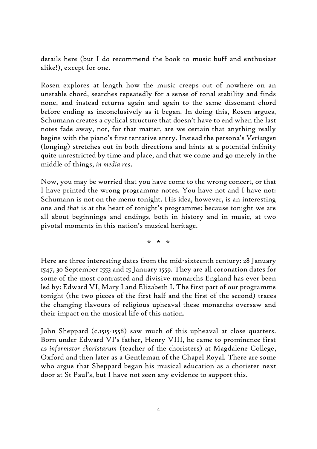details here (but I do recommend the book to music buff and enthusiast alike!), except for one.

Rosen explores at length how the music creeps out of nowhere on an unstable chord, searches repeatedly for a sense of tonal stability and finds none, and instead returns again and again to the same dissonant chord before ending as inconclusively as it began. In doing this, Rosen argues, Schumann creates a cyclical structure that doesn't have to end when the last notes fade away, nor, for that matter, are we certain that anything really begins with the piano's first tentative entry. Instead the persona's *Verlangen* (longing) stretches out in both directions and hints at a potential infinity quite unrestricted by time and place, and that we come and go merely in the middle of things, *in media res*.

Now, you may be worried that you have come to the wrong concert, or that I have printed the wrong programme notes. You have not and I have not: Schumann is not on the menu tonight. His idea, however, is an interesting one and *that* is at the heart of tonight's programme: because tonight we are all about beginnings and endings, both in history and in music, at two pivotal moments in this nation's musical heritage.

\* \* \*

Here are three interesting dates from the mid-sixteenth century: 28 January 1547, 30 September 1553 and 15 January 1559. They are all coronation dates for some of the most contrasted and divisive monarchs England has ever been led by: Edward VI, Mary I and Elizabeth I. The first part of our programme tonight (the two pieces of the first half and the first of the second) traces the changing flavours of religious upheaval these monarchs oversaw and their impact on the musical life of this nation.

John Sheppard (c.1515-1558) saw much of this upheaval at close quarters. Born under Edward VI's father, Henry VIII, he came to prominence first as *informator choristarum* (teacher of the choristers) at Magdalene College, Oxford and then later as a Gentleman of the Chapel Royal. There are some who argue that Sheppard began his musical education as a chorister next door at St Paul's, but I have not seen any evidence to support this.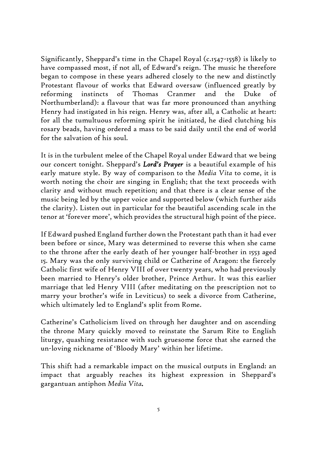Significantly, Sheppard's time in the Chapel Royal (c.1547-1558) is likely to have compassed most, if not all, of Edward's reign. The music he therefore began to compose in these years adhered closely to the new and distinctly Protestant flavour of works that Edward oversaw (influenced greatly by reforming instincts of Thomas Cranmer and the Duke of Northumberland): a flavour that was far more pronounced than anything Henry had instigated in his reign. Henry was, after all, a Catholic at heart: for all the tumultuous reforming spirit he initiated, he died clutching his rosary beads, having ordered a mass to be said daily until the end of world for the salvation of his soul.

It is in the turbulent melee of the Chapel Royal under Edward that we being our concert tonight. Sheppard's *Lord's Prayer* is a beautiful example of his early mature style. By way of comparison to the *Media Vita* to come, it is worth noting the choir are singing in English; that the text proceeds with clarity and without much repetition; and that there is a clear sense of the music being led by the upper voice and supported below (which further aids the clarity). Listen out in particular for the beautiful ascending scale in the tenor at 'forever more', which provides the structural high point of the piece.

If Edward pushed England further down the Protestant path than it had ever been before or since, Mary was determined to reverse this when she came to the throne after the early death of her younger half-brother in 1553 aged 15. Mary was the only surviving child or Catherine of Aragon: the fiercely Catholic first wife of Henry VIII of over twenty years, who had previously been married to Henry's older brother, Prince Arthur. It was this earlier marriage that led Henry VIII (after meditating on the prescription not to marry your brother's wife in Leviticus) to seek a divorce from Catherine, which ultimately led to England's split from Rome.

Catherine's Catholicism lived on through her daughter and on ascending the throne Mary quickly moved to reinstate the Sarum Rite to English liturgy, quashing resistance with such gruesome force that she earned the un-loving nickname of 'Bloody Mary' within her lifetime.

This shift had a remarkable impact on the musical outputs in England: an impact that arguably reaches its highest expression in Sheppard's gargantuan antiphon *Media Vita.*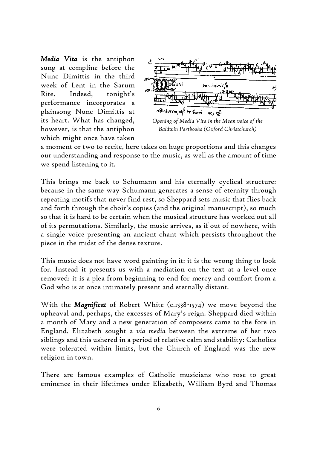*Media Vita* is the antiphon sung at compline before the Nunc Dimittis in the third week of Lent in the Sarum Rite. Indeed, tonight's performance incorporates a plainsong Nunc Dimittis at its heart. What has changed, however, is that the antiphon which might once have taken



*Baldwin Partbooks (Oxford Christchurch)*

a moment or two to recite, here takes on huge proportions and this changes our understanding and response to the music, as well as the amount of time we spend listening to it.

This brings me back to Schumann and his eternally cyclical structure: because in the same way Schumann generates a sense of eternity through repeating motifs that never find rest, so Sheppard sets music that flies back and forth through the choir's copies (and the original manuscript), so much so that it is hard to be certain when the musical structure has worked out all of its permutations. Similarly, the music arrives, as if out of nowhere, with a single voice presenting an ancient chant which persists throughout the piece in the midst of the dense texture.

This music does not have word painting in it: it is the wrong thing to look for. Instead it presents us with a mediation on the text at a level once removed: it is a plea from beginning to end for mercy and comfort from a God who is at once intimately present and eternally distant.

With the *Magnificat* of Robert White (c.1538-1574) we move beyond the upheaval and, perhaps, the excesses of Mary's reign. Sheppard died within a month of Mary and a new generation of composers came to the fore in England. Elizabeth sought a *via media* between the extreme of her two siblings and this ushered in a period of relative calm and stability: Catholics were tolerated within limits, but the Church of England was the new religion in town.

There are famous examples of Catholic musicians who rose to great eminence in their lifetimes under Elizabeth, William Byrd and Thomas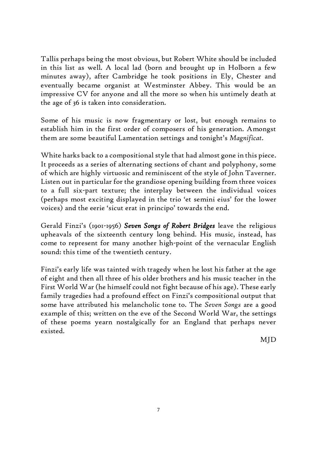Tallis perhaps being the most obvious, but Robert White should be included in this list as well. A local lad (born and brought up in Holborn a few minutes away), after Cambridge he took positions in Ely, Chester and eventually became organist at Westminster Abbey. This would be an impressive CV for anyone and all the more so when his untimely death at the age of 36 is taken into consideration.

Some of his music is now fragmentary or lost, but enough remains to establish him in the first order of composers of his generation. Amongst them are some beautiful Lamentation settings and tonight's *Magnificat*.

White harks back to a compositional style that had almost gone in this piece. It proceeds as a series of alternating sections of chant and polyphony, some of which are highly virtuosic and reminiscent of the style of John Taverner. Listen out in particular for the grandiose opening building from three voices to a full six-part texture; the interplay between the individual voices (perhaps most exciting displayed in the trio 'et semini eius' for the lower voices) and the eerie 'sicut erat in principo' towards the end.

Gerald Finzi's (1901-1956) *Seven Songs of Robert Bridges* leave the religious upheavals of the sixteenth century long behind. His music, instead, has come to represent for many another high-point of the vernacular English sound: this time of the twentieth century.

Finzi's early life was tainted with tragedy when he lost his father at the age of eight and then all three of his older brothers and his music teacher in the First World War (he himself could not fight because of his age). These early family tragedies had a profound effect on Finzi's compositional output that some have attributed his melancholic tone to. The *Seven Songs* are a good example of this; written on the eve of the Second World War, the settings of these poems yearn nostalgically for an England that perhaps never existed.

MJD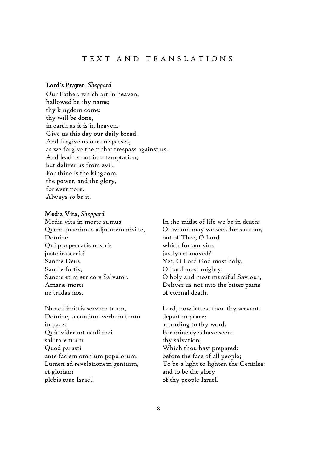#### T E X T A N D T R A N S L A T I O N S

#### Lord's Prayer, *Sheppard*

Our Father, which art in heaven, hallowed be thy name; thy kingdom come; thy will be done, in earth as it is in heaven. Give us this day our daily bread. And forgive us our trespasses, as we forgive them that trespass against us. And lead us not into temptation; but deliver us from evil. For thine is the kingdom, the power, and the glory, for evermore. Always so be it.

#### Media Vita, *Sheppard*

Media vita in morte sumus Quem quaerimus adjutorem nisi te, Domine Qui pro peccatis nostris juste irasceris? Sancte Deus, Sancte fortis, Sancte et misericors Salvator, Amaræ morti ne tradas nos.

Nunc dimittis servum tuum, Domine, secundum verbum tuum in pace: Quia viderunt oculi mei salutare tuum Quod parasti ante faciem omnium populorum: Lumen ad revelationem gentium, et gloriam plebis tuae Israel.

In the midst of life we be in death: Of whom may we seek for succour, but of Thee, O Lord which for our sins justly art moved? Yet, O Lord God most holy, O Lord most mighty, O holy and most merciful Saviour, Deliver us not into the bitter pains of eternal death.

Lord, now lettest thou thy servant depart in peace: according to thy word. For mine eyes have seen: thy salvation, Which thou hast prepared: before the face of all people; To be a light to lighten the Gentiles: and to be the glory of thy people Israel.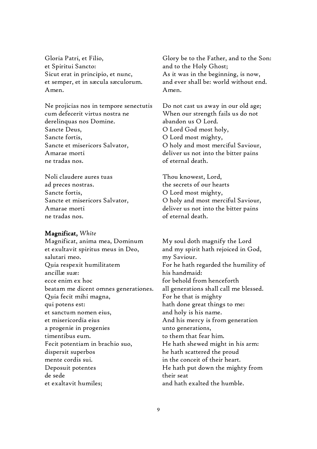Gloria Patri, et Filio, et Spiritui Sancto: Sicut erat in principio, et nunc, et semper, et in sæcula sæculorum. Amen.

Ne projicias nos in tempore senectutis cum defecerit virtus nostra ne derelinquas nos Domine. Sancte Deus, Sancte fortis, Sancte et misericors Salvator, Amarae morti ne tradas nos.

Noli claudere aures tuas ad preces nostras. Sancte fortis, Sancte et misericors Salvator, Amarae morti ne tradas nos.

#### Magnificat, *White*

Magnificat, anima mea, Dominum et exultavit spiritus meus in Deo, salutari meo. Quia respexit humilitatem ancillæ suæ: ecce enim ex hoc beatam me dicent omnes generationes. Quia fecit mihi magna, qui potens est: et sanctum nomen eius, et misericordia eius a progenie in progenies timentibus eum. Fecit potentiam in brachio suo, dispersit superbos mente cordis sui. Deposuit potentes de sede et exaltavit humiles;

Glory be to the Father, and to the Son: and to the Holy Ghost; As it was in the beginning, is now, and ever shall be: world without end. Amen.

Do not cast us away in our old age; When our strength fails us do not abandon us O Lord. O Lord God most holy, O Lord most mighty, O holy and most merciful Saviour, deliver us not into the bitter pains of eternal death.

Thou knowest, Lord, the secrets of our hearts O Lord most mighty, O holy and most merciful Saviour, deliver us not into the bitter pains of eternal death.

My soul doth magnify the Lord and my spirit hath rejoiced in God, my Saviour. For he hath regarded the humility of his handmaid: for behold from henceforth all generations shall call me blessed. For he that is mighty hath done great things to me: and holy is his name. And his mercy is from generation unto generations, to them that fear him. He hath shewed might in his arm: he hath scattered the proud in the conceit of their heart. He hath put down the mighty from their seat and hath exalted the humble.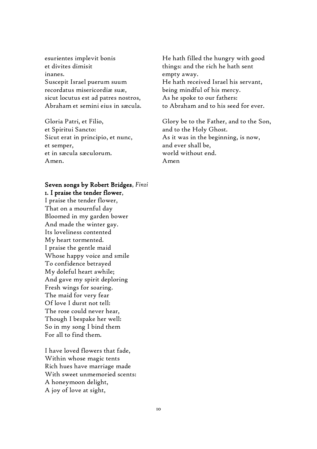esurientes implevit bonis et divites dimisit inanes. Suscepit Israel puerum suum recordatus misericordiæ suæ, sicut locutus est ad patres nostros, Abraham et semini eius in sæcula.

Gloria Patri, et Filio, et Spiritui Sancto: Sicut erat in principio, et nunc, et semper, et in sæcula sæculorum. Amen.

#### Seven songs by Robert Bridges, *Finzi* 1. I praise the tender flower,

I praise the tender flower, That on a mournful day Bloomed in my garden bower And made the winter gay. Its loveliness contented My heart tormented. I praise the gentle maid Whose happy voice and smile To confidence betrayed My doleful heart awhile; And gave my spirit deploring Fresh wings for soaring. The maid for very fear Of love I durst not tell: The rose could never hear, Though I bespake her well: So in my song I bind them For all to find them.

I have loved flowers that fade, Within whose magic tents Rich hues have marriage made With sweet unmemoried scents: A honeymoon delight, A joy of love at sight,

He hath filled the hungry with good things: and the rich he hath sent empty away. He hath received Israel his servant, being mindful of his mercy. As he spoke to our fathers: to Abraham and to his seed for ever.

Glory be to the Father, and to the Son, and to the Holy Ghost. As it was in the beginning, is now, and ever shall be, world without end. Amen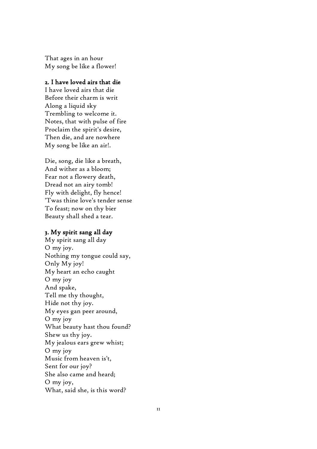That ages in an hour My song be like a flower!

#### 2. I have loved airs that die

I have loved airs that die Before their charm is writ Along a liquid sky Trembling to welcome it. Notes, that with pulse of fire Proclaim the spirit's desire, Then die, and are nowhere My song be like an air!.

Die, song, die like a breath, And wither as a bloom; Fear not a flowery death, Dread not an airy tomb! Fly with delight, fly hence! 'Twas thine love's tender sense To feast; now on thy bier Beauty shall shed a tear.

#### 3. My spirit sang all day

My spirit sang all day O my joy. Nothing my tongue could say, Only My joy! My heart an echo caught O my joy And spake, Tell me thy thought, Hide not thy joy. My eyes gan peer around, O my joy What beauty hast thou found? Shew us thy joy. My jealous ears grew whist; O my joy Music from heaven is't, Sent for our joy? She also came and heard; O my joy, What, said she, is this word?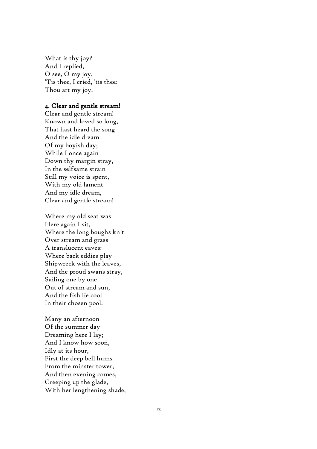What is thy joy? And I replied, O see, O my joy, 'Tis thee, I cried, 'tis thee: Thou art my joy.

#### 4. Clear and gentle stream!

Clear and gentle stream! Known and loved so long, That hast heard the song And the idle dream Of my boyish day; While I once again Down thy margin stray, In the selfsame strain Still my voice is spent, With my old lament And my idle dream, Clear and gentle stream!

Where my old seat was Here again I sit, Where the long boughs knit Over stream and grass A translucent eaves: Where back eddies play Shipwreck with the leaves, And the proud swans stray, Sailing one by one Out of stream and sun, And the fish lie cool In their chosen pool.

Many an afternoon Of the summer day Dreaming here I lay; And I know how soon, Idly at its hour, First the deep bell hums From the minster tower, And then evening comes, Creeping up the glade, With her lengthening shade,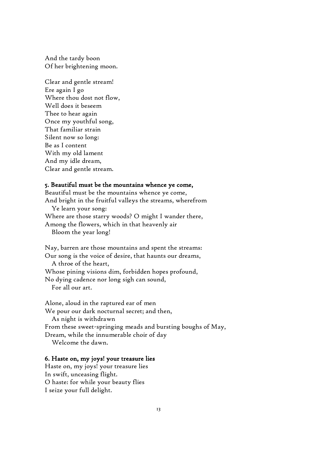And the tardy boon Of her brightening moon.

Clear and gentle stream! Ere again I go Where thou dost not flow, Well does it beseem Thee to hear again Once my youthful song, That familiar strain Silent now so long: Be as I content With my old lament And my idle dream, Clear and gentle stream.

#### 5. Beautiful must be the mountains whence ye come,

Beautiful must be the mountains whence ye come, And bright in the fruitful valleys the streams, wherefrom Ye learn your song: Where are those starry woods? O might I wander there, Among the flowers, which in that heavenly air Bloom the year long!

Nay, barren are those mountains and spent the streams: Our song is the voice of desire, that haunts our dreams, A throe of the heart, Whose pining visions dim, forbidden hopes profound, No dying cadence nor long sigh can sound, For all our art.

Alone, aloud in the raptured ear of men We pour our dark nocturnal secret; and then, As night is withdrawn From these sweet-springing meads and bursting boughs of May, Dream, while the innumerable choir of day Welcome the dawn.

#### 6. Haste on, my joys! your treasure lies

Haste on, my joys! your treasure lies In swift, unceasing flight. O haste: for while your beauty flies I seize your full delight.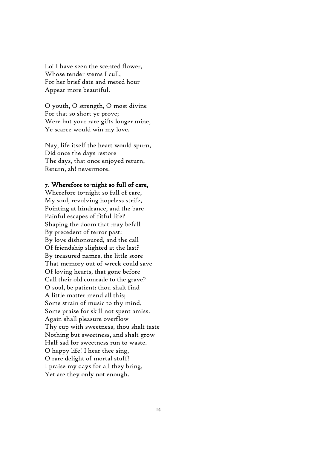Lo! I have seen the scented flower, Whose tender stems I cull, For her brief date and meted hour Appear more beautiful.

O youth, O strength, O most divine For that so short ye prove; Were but your rare gifts longer mine, Ye scarce would win my love.

Nay, life itself the heart would spurn, Did once the days restore The days, that once enjoyed return, Return, ah! nevermore.

#### 7. Wherefore to-night so full of care,

Wherefore to-night so full of care, My soul, revolving hopeless strife, Pointing at hindrance, and the bare Painful escapes of fitful life? Shaping the doom that may befall By precedent of terror past: By love dishonoured, and the call Of friendship slighted at the last? By treasured names, the little store That memory out of wreck could save Of loving hearts, that gone before Call their old comrade to the grave? O soul, be patient: thou shalt find A little matter mend all this; Some strain of music to thy mind, Some praise for skill not spent amiss. Again shall pleasure overflow Thy cup with sweetness, thou shalt taste Nothing but sweetness, and shalt grow Half sad for sweetness run to waste. O happy life! I hear thee sing, O rare delight of mortal stuff! I praise my days for all they bring, Yet are they only not enough.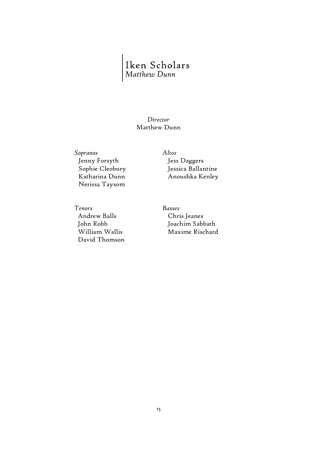# Iken Scholars<br>Matthew Dunn

#### *Director* Matthew Dunn

*Sopranos Altos* Jenny Forsyth Sophie Cleobury Katharina Dunn Nerissa Taysom

Jess Daggers Jessica Ballantine Anoushka Kenley

*Tenors Basses* Andrew Balls John Robb William Wallis David Thomson

Chris Jeanes Joachim Sabbath Maxime Rischard